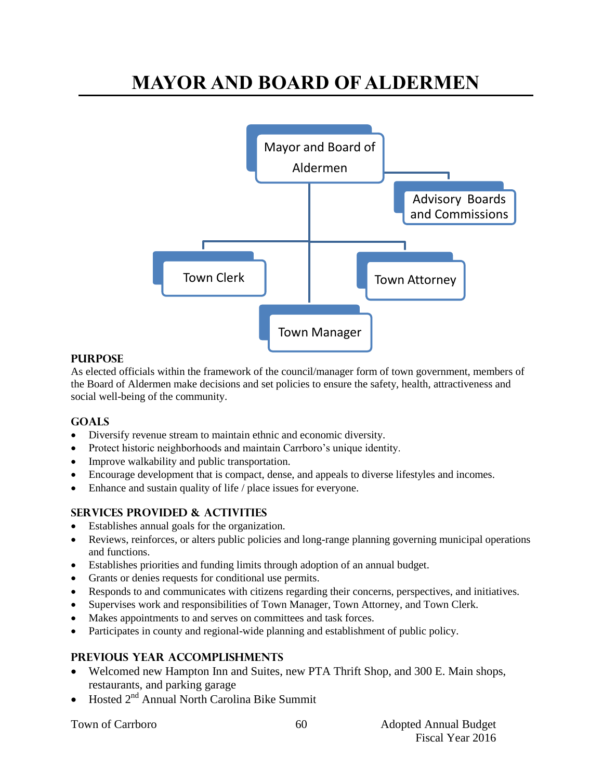# **MAYOR AND BOARD OF ALDERMEN**



#### **PURPOSE**

As elected officials within the framework of the council/manager form of town government, members of the Board of Aldermen make decisions and set policies to ensure the safety, health, attractiveness and social well-being of the community.

## **Goals**

- Diversify revenue stream to maintain ethnic and economic diversity.
- Protect historic neighborhoods and maintain Carrboro's unique identity.
- Improve walkability and public transportation.
- Encourage development that is compact, dense, and appeals to diverse lifestyles and incomes.
- Enhance and sustain quality of life / place issues for everyone.

## **Services provided & activities**

- Establishes annual goals for the organization.
- Reviews, reinforces, or alters public policies and long-range planning governing municipal operations and functions.
- Establishes priorities and funding limits through adoption of an annual budget.
- Grants or denies requests for conditional use permits.
- Responds to and communicates with citizens regarding their concerns, perspectives, and initiatives.
- Supervises work and responsibilities of Town Manager, Town Attorney, and Town Clerk.
- Makes appointments to and serves on committees and task forces.
- Participates in county and regional-wide planning and establishment of public policy.

## **Previous year accomplishments**

- Welcomed new Hampton Inn and Suites, new PTA Thrift Shop, and 300 E. Main shops, restaurants, and parking garage
- Hosted 2nd Annual North Carolina Bike Summit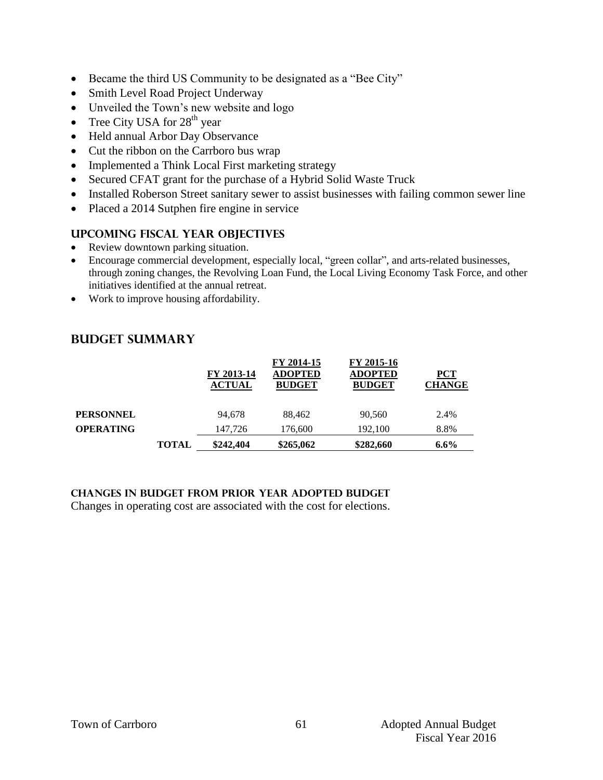- Became the third US Community to be designated as a "Bee City"
- Smith Level Road Project Underway
- Unveiled the Town's new website and logo
- Tree City USA for  $28<sup>th</sup>$  year
- Held annual Arbor Day Observance
- Cut the ribbon on the Carrboro bus wrap
- Implemented a Think Local First marketing strategy
- Secured CFAT grant for the purchase of a Hybrid Solid Waste Truck
- Installed Roberson Street sanitary sewer to assist businesses with failing common sewer line
- Placed a 2014 Sutphen fire engine in service

## **Upcoming Fiscal year objectives**

- Review downtown parking situation.
- Encourage commercial development, especially local, "green collar", and arts-related businesses, through zoning changes, the Revolving Loan Fund, the Local Living Economy Task Force, and other initiatives identified at the annual retreat.
- Work to improve housing affordability.

## **Budget summary**

| <b>PERSONNEL</b><br><b>OPERATING</b> | 94.678<br>147.726           | 88.462<br>176,600                             | 90.560<br>192,100                             | 2.4%<br>8.8%                |
|--------------------------------------|-----------------------------|-----------------------------------------------|-----------------------------------------------|-----------------------------|
|                                      |                             |                                               |                                               |                             |
|                                      | FY 2013-14<br><b>ACTUAL</b> | FY 2014-15<br><b>ADOPTED</b><br><b>BUDGET</b> | FY 2015-16<br><b>ADOPTED</b><br><b>BUDGET</b> | <b>PCT</b><br><b>CHANGE</b> |

### **Changes in budget from prior year adopted budget**

Changes in operating cost are associated with the cost for elections.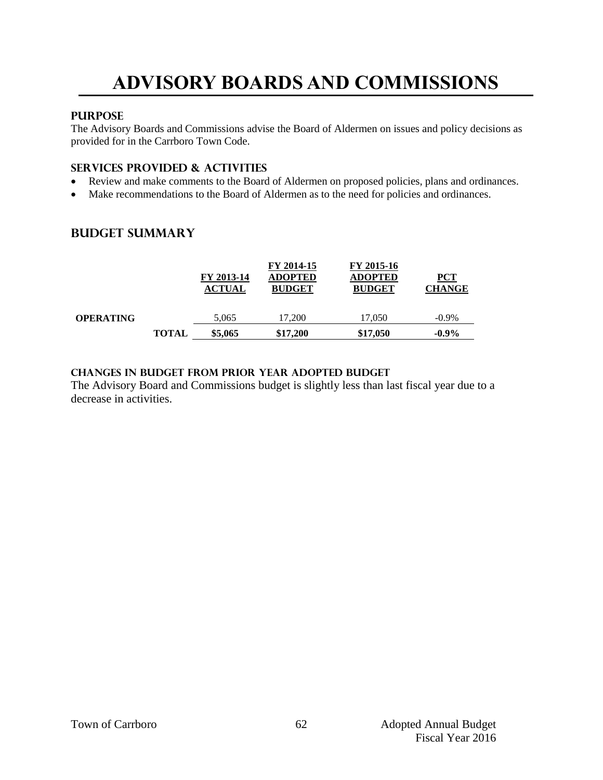# **ADVISORY BOARDS AND COMMISSIONS**

### **PURPOSE**

The Advisory Boards and Commissions advise the Board of Aldermen on issues and policy decisions as provided for in the Carrboro Town Code.

#### **Services provided & activities**

- Review and make comments to the Board of Aldermen on proposed policies, plans and ordinances.
- Make recommendations to the Board of Aldermen as to the need for policies and ordinances.

## **Budget summary**

|                  |              | FY 2013-14<br><b>ACTUAL</b> | FY 2014-15<br><b>ADOPTED</b><br><b>BUDGET</b> | FY 2015-16<br><b>ADOPTED</b><br><b>BUDGET</b> | PCT<br><b>CHANGE</b> |
|------------------|--------------|-----------------------------|-----------------------------------------------|-----------------------------------------------|----------------------|
| <b>OPERATING</b> |              | 5.065                       | 17.200                                        | 17.050                                        | $-0.9\%$             |
|                  | <b>TOTAL</b> | \$5,065                     | \$17,200                                      | \$17,050                                      | $-0.9\%$             |

#### **Changes in budget from prior year adopted budget**

The Advisory Board and Commissions budget is slightly less than last fiscal year due to a decrease in activities.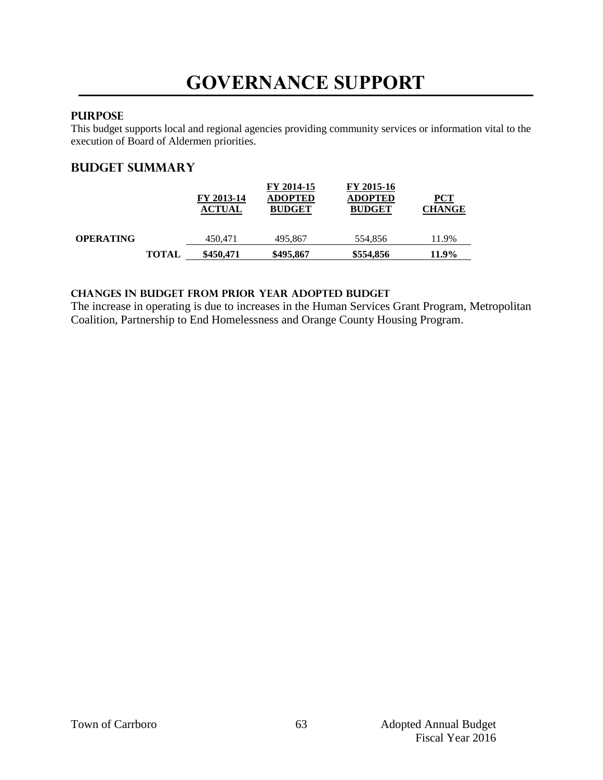# **GOVERNANCE SUPPORT**

### **PURPOSE**

This budget supports local and regional agencies providing community services or information vital to the execution of Board of Aldermen priorities.

## **Budget summary**

|                  |              | FY 2013-14<br><b>ACTUAL</b> | FY 2014-15<br><b>ADOPTED</b><br><b>BUDGET</b> | FY 2015-16<br><b>ADOPTED</b><br><b>BUDGET</b> | PCT<br><b>CHANGE</b> |
|------------------|--------------|-----------------------------|-----------------------------------------------|-----------------------------------------------|----------------------|
| <b>OPERATING</b> |              | 450.471                     | 495,867                                       | 554.856                                       | 11.9%                |
|                  | <b>TOTAL</b> | \$450,471                   | \$495,867                                     | \$554,856                                     | 11.9%                |

### **changes in budget from prior year adopted budget**

The increase in operating is due to increases in the Human Services Grant Program, Metropolitan Coalition, Partnership to End Homelessness and Orange County Housing Program.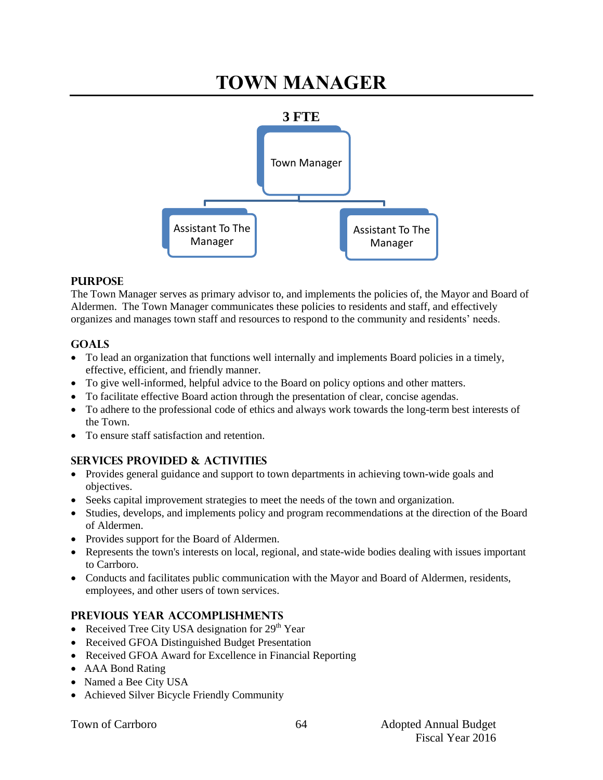# **TOWN MANAGER**



### **PURPOSE**

The Town Manager serves as primary advisor to, and implements the policies of, the Mayor and Board of Aldermen. The Town Manager communicates these policies to residents and staff, and effectively organizes and manages town staff and resources to respond to the community and residents' needs.

### **GOALS**

- To lead an organization that functions well internally and implements Board policies in a timely, effective, efficient, and friendly manner.
- To give well-informed, helpful advice to the Board on policy options and other matters.
- To facilitate effective Board action through the presentation of clear, concise agendas.
- To adhere to the professional code of ethics and always work towards the long-term best interests of the Town.
- To ensure staff satisfaction and retention

## **SERVICES PROVIDED & ACTIVITIES**

- Provides general guidance and support to town departments in achieving town-wide goals and objectives.
- Seeks capital improvement strategies to meet the needs of the town and organization.
- Studies, develops, and implements policy and program recommendations at the direction of the Board of Aldermen.
- Provides support for the Board of Aldermen.
- Represents the town's interests on local, regional, and state-wide bodies dealing with issues important to Carrboro.
- Conducts and facilitates public communication with the Mayor and Board of Aldermen, residents, employees, and other users of town services.

#### **PREVIOUS YEAR ACCOMPLISHMENTS**

- Received Tree City USA designation for  $29<sup>th</sup>$  Year
- Received GFOA Distinguished Budget Presentation
- Received GFOA Award for Excellence in Financial Reporting
- AAA Bond Rating
- Named a Bee City USA
- Achieved Silver Bicycle Friendly Community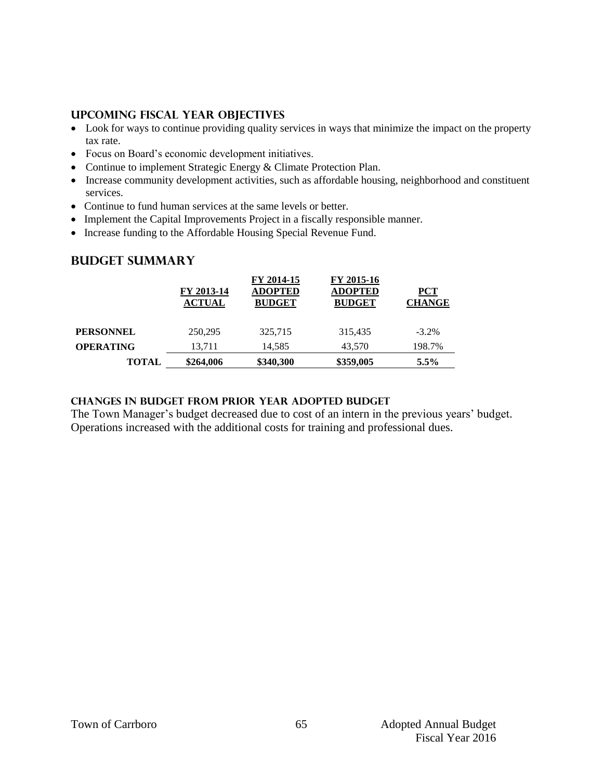#### **UPCOMING FISCAL YEAR OBJECTIVES**

- Look for ways to continue providing quality services in ways that minimize the impact on the property tax rate.
- Focus on Board's economic development initiatives.
- Continue to implement Strategic Energy & Climate Protection Plan.
- Increase community development activities, such as affordable housing, neighborhood and constituent services.
- Continue to fund human services at the same levels or better.
- Implement the Capital Improvements Project in a fiscally responsible manner.
- Increase funding to the Affordable Housing Special Revenue Fund.

### **Budget summary**

|                  | FY 2013-14<br><b>ACTUAL</b> | FY 2014-15<br><b>ADOPTED</b><br><b>BUDGET</b> | FY 2015-16<br><b>ADOPTED</b><br><b>BUDGET</b> | <b>PCT</b><br><b>CHANGE</b> |
|------------------|-----------------------------|-----------------------------------------------|-----------------------------------------------|-----------------------------|
| <b>PERSONNEL</b> | 250,295                     | 325,715                                       | 315.435                                       | $-3.2\%$                    |
| <b>OPERATING</b> | 13.711                      | 14.585                                        | 43,570                                        | 198.7%                      |
| <b>TOTAL</b>     | \$264,006                   | \$340,300                                     | \$359,005                                     | $5.5\%$                     |

#### **Changes in budget from prior year adopted budget**

The Town Manager's budget decreased due to cost of an intern in the previous years' budget. Operations increased with the additional costs for training and professional dues.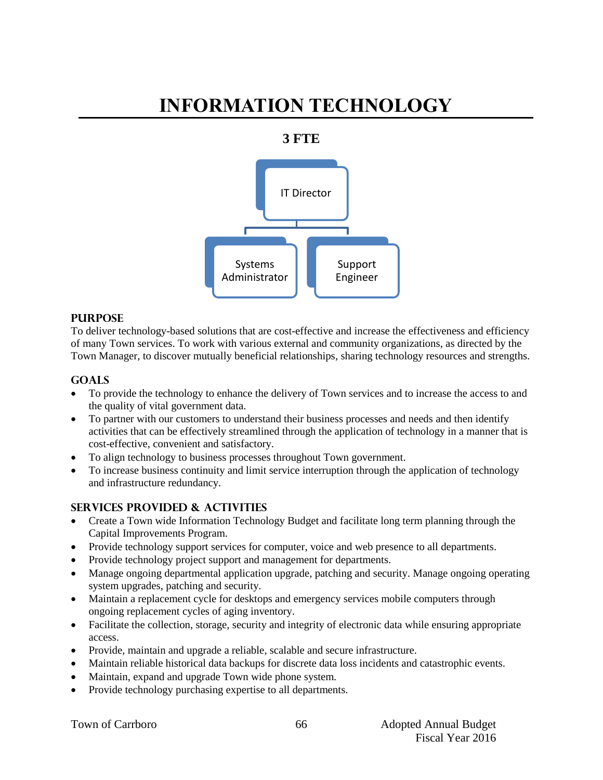# **INFORMATION TECHNOLOGY**

## **3 FTE**



#### **PURPOSE**

To deliver technology-based solutions that are cost-effective and increase the effectiveness and efficiency of many Town services. To work with various external and community organizations, as directed by the Town Manager, to discover mutually beneficial relationships, sharing technology resources and strengths.

#### **Goals**

- To provide the technology to enhance the delivery of Town services and to increase the access to and the quality of vital government data.
- To partner with our customers to understand their business processes and needs and then identify activities that can be effectively streamlined through the application of technology in a manner that is cost-effective, convenient and satisfactory.
- To align technology to business processes throughout Town government.
- To increase business continuity and limit service interruption through the application of technology and infrastructure redundancy.

#### **Services provided & activities**

- Create a Town wide Information Technology Budget and facilitate long term planning through the Capital Improvements Program.
- Provide technology support services for computer, voice and web presence to all departments.
- Provide technology project support and management for departments.
- Manage ongoing departmental application upgrade, patching and security. Manage ongoing operating system upgrades, patching and security.
- Maintain a replacement cycle for desktops and emergency services mobile computers through ongoing replacement cycles of aging inventory.
- Facilitate the collection, storage, security and integrity of electronic data while ensuring appropriate access.
- Provide, maintain and upgrade a reliable, scalable and secure infrastructure.
- Maintain reliable historical data backups for discrete data loss incidents and catastrophic events.
- Maintain, expand and upgrade Town wide phone system.
- Provide technology purchasing expertise to all departments.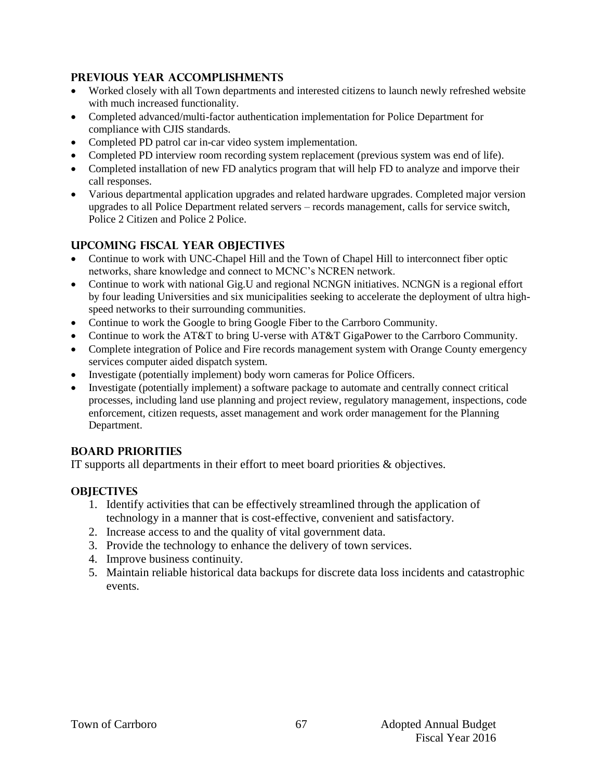## **Previous year accomplishments**

- Worked closely with all Town departments and interested citizens to launch newly refreshed website with much increased functionality.
- Completed advanced/multi-factor authentication implementation for Police Department for compliance with CJIS standards.
- Completed PD patrol car in-car video system implementation.
- Completed PD interview room recording system replacement (previous system was end of life).
- Completed installation of new FD analytics program that will help FD to analyze and imporve their call responses.
- Various departmental application upgrades and related hardware upgrades. Completed major version upgrades to all Police Department related servers – records management, calls for service switch, Police 2 Citizen and Police 2 Police.

## **Upcoming Fiscal year objectives**

- Continue to work with UNC-Chapel Hill and the Town of Chapel Hill to interconnect fiber optic networks, share knowledge and connect to MCNC's NCREN network.
- Continue to work with national Gig.U and regional NCNGN initiatives. NCNGN is a regional effort by four leading Universities and six municipalities seeking to accelerate the deployment of ultra highspeed networks to their surrounding communities.
- Continue to work the Google to bring Google Fiber to the Carrboro Community.
- Continue to work the AT&T to bring U-verse with AT&T GigaPower to the Carrboro Community.
- Complete integration of Police and Fire records management system with Orange County emergency services computer aided dispatch system.
- Investigate (potentially implement) body worn cameras for Police Officers.
- Investigate (potentially implement) a software package to automate and centrally connect critical processes, including land use planning and project review, regulatory management, inspections, code enforcement, citizen requests, asset management and work order management for the Planning Department.

## **BOARD PRIORITIES**

IT supports all departments in their effort to meet board priorities & objectives.

## **OBJECTIVES**

- 1. Identify activities that can be effectively streamlined through the application of technology in a manner that is cost-effective, convenient and satisfactory.
- 2. Increase access to and the quality of vital government data.
- 3. Provide the technology to enhance the delivery of town services.
- 4. Improve business continuity.
- 5. Maintain reliable historical data backups for discrete data loss incidents and catastrophic events.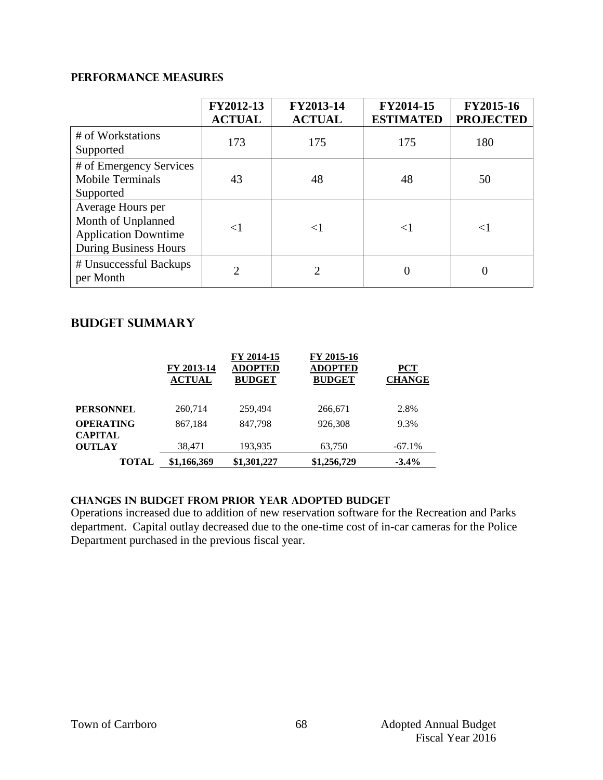### **PERFORMANCE MEASURES**

|                                                                                                        | FY2012-13<br><b>ACTUAL</b> | FY2013-14<br><b>ACTUAL</b> | FY2014-15<br><b>ESTIMATED</b> | FY2015-16<br><b>PROJECTED</b> |
|--------------------------------------------------------------------------------------------------------|----------------------------|----------------------------|-------------------------------|-------------------------------|
| # of Workstations<br>Supported                                                                         | 173                        | 175                        | 175                           | 180                           |
| # of Emergency Services<br><b>Mobile Terminals</b><br>Supported                                        | 43                         | 48                         | 48                            | 50                            |
| Average Hours per<br>Month of Unplanned<br><b>Application Downtime</b><br><b>During Business Hours</b> | ${<}1$                     | $\leq$ 1                   | $\leq$ 1                      | $\leq$ 1                      |
| # Unsuccessful Backups<br>per Month                                                                    | $\mathfrak{D}$             | っ                          | 0                             |                               |

## **Budget summary**

|                                    | FY 2013-14<br><b>ACTUAL</b> | FY 2014-15<br><b>ADOPTED</b><br><b>BUDGET</b> | FY 2015-16<br><b>ADOPTED</b><br><b>BUDGET</b> | <b>PCT</b><br><b>CHANGE</b> |
|------------------------------------|-----------------------------|-----------------------------------------------|-----------------------------------------------|-----------------------------|
| <b>PERSONNEL</b>                   | 260,714                     | 259.494                                       | 266,671                                       | 2.8%                        |
| <b>OPERATING</b><br><b>CAPITAL</b> | 867,184                     | 847,798                                       | 926,308                                       | 9.3%                        |
| <b>OUTLAY</b>                      | 38,471                      | 193,935                                       | 63,750                                        | $-67.1\%$                   |
| <b>TOTAL</b>                       | \$1,166,369                 | \$1,301,227                                   | \$1,256,729                                   | $-3.4%$                     |

## **changes in budget from prior year adopted budget**

Operations increased due to addition of new reservation software for the Recreation and Parks department. Capital outlay decreased due to the one-time cost of in-car cameras for the Police Department purchased in the previous fiscal year.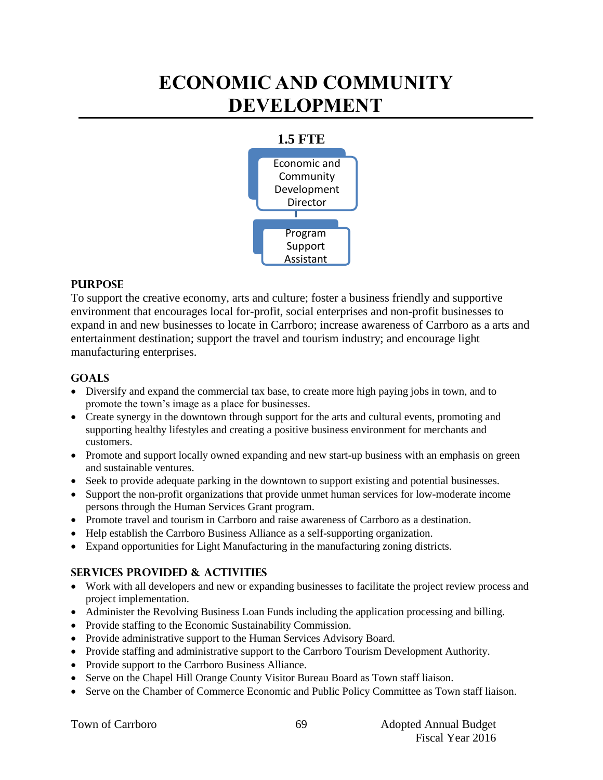# **ECONOMIC AND COMMUNITY DEVELOPMENT**



#### **PURPOSE**

To support the creative economy, arts and culture; foster a business friendly and supportive environment that encourages local for-profit, social enterprises and non-profit businesses to expand in and new businesses to locate in Carrboro; increase awareness of Carrboro as a arts and entertainment destination; support the travel and tourism industry; and encourage light manufacturing enterprises.

#### **Goals**

- Diversify and expand the commercial tax base, to create more high paying jobs in town, and to promote the town's image as a place for businesses.
- Create synergy in the downtown through support for the arts and cultural events, promoting and supporting healthy lifestyles and creating a positive business environment for merchants and customers.
- Promote and support locally owned expanding and new start-up business with an emphasis on green and sustainable ventures.
- Seek to provide adequate parking in the downtown to support existing and potential businesses.
- Support the non-profit organizations that provide unmet human services for low-moderate income persons through the Human Services Grant program.
- Promote travel and tourism in Carrboro and raise awareness of Carrboro as a destination.
- Help establish the Carrboro Business Alliance as a self-supporting organization.
- Expand opportunities for Light Manufacturing in the manufacturing zoning districts.

#### **Services provided & activities**

- Work with all developers and new or expanding businesses to facilitate the project review process and project implementation.
- Administer the Revolving Business Loan Funds including the application processing and billing.
- Provide staffing to the Economic Sustainability Commission.
- Provide administrative support to the Human Services Advisory Board.
- Provide staffing and administrative support to the Carrboro Tourism Development Authority.
- Provide support to the Carrboro Business Alliance.
- Serve on the Chapel Hill Orange County Visitor Bureau Board as Town staff liaison.
- Serve on the Chamber of Commerce Economic and Public Policy Committee as Town staff liaison.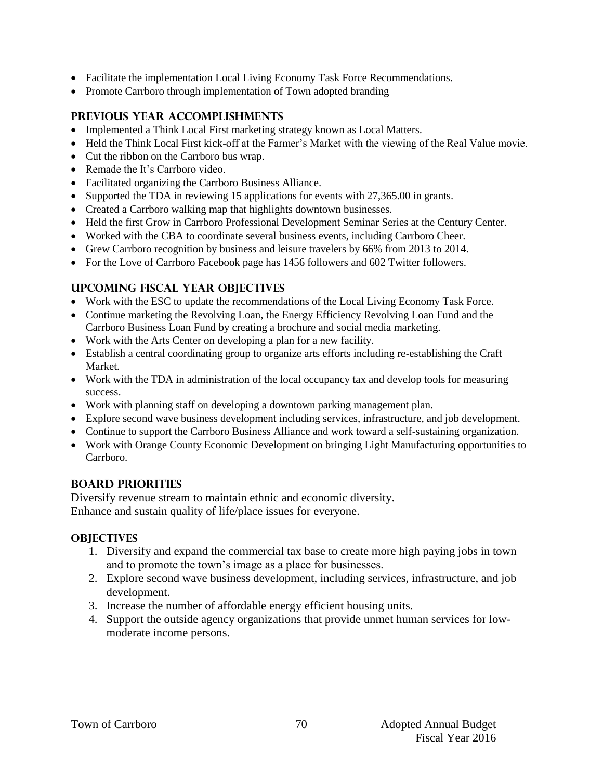- Facilitate the implementation Local Living Economy Task Force Recommendations.
- Promote Carrboro through implementation of Town adopted branding

### **Previous year accomplishments**

- Implemented a Think Local First marketing strategy known as Local Matters.
- Held the Think Local First kick-off at the Farmer's Market with the viewing of the Real Value movie.
- Cut the ribbon on the Carrboro bus wrap.
- Remade the It's Carrboro video.
- Facilitated organizing the Carrboro Business Alliance.
- Supported the TDA in reviewing 15 applications for events with 27,365.00 in grants.
- Created a Carrboro walking map that highlights downtown businesses.
- Held the first Grow in Carrboro Professional Development Seminar Series at the Century Center.
- Worked with the CBA to coordinate several business events, including Carrboro Cheer.
- Grew Carrboro recognition by business and leisure travelers by 66% from 2013 to 2014.
- For the Love of Carrboro Facebook page has 1456 followers and 602 Twitter followers.

### **Upcoming Fiscal year objectives**

- Work with the ESC to update the recommendations of the Local Living Economy Task Force.
- Continue marketing the Revolving Loan, the Energy Efficiency Revolving Loan Fund and the Carrboro Business Loan Fund by creating a brochure and social media marketing.
- Work with the Arts Center on developing a plan for a new facility.
- Establish a central coordinating group to organize arts efforts including re-establishing the Craft Market.
- Work with the TDA in administration of the local occupancy tax and develop tools for measuring success.
- Work with planning staff on developing a downtown parking management plan.
- Explore second wave business development including services, infrastructure, and job development.
- Continue to support the Carrboro Business Alliance and work toward a self-sustaining organization.
- Work with Orange County Economic Development on bringing Light Manufacturing opportunities to Carrboro.

## **BOARD PRIORITIES**

Diversify revenue stream to maintain ethnic and economic diversity. Enhance and sustain quality of life/place issues for everyone.

#### **OBJECTIVES**

- 1. Diversify and expand the commercial tax base to create more high paying jobs in town and to promote the town's image as a place for businesses.
- 2. Explore second wave business development, including services, infrastructure, and job development.
- 3. Increase the number of affordable energy efficient housing units.
- 4. Support the outside agency organizations that provide unmet human services for lowmoderate income persons.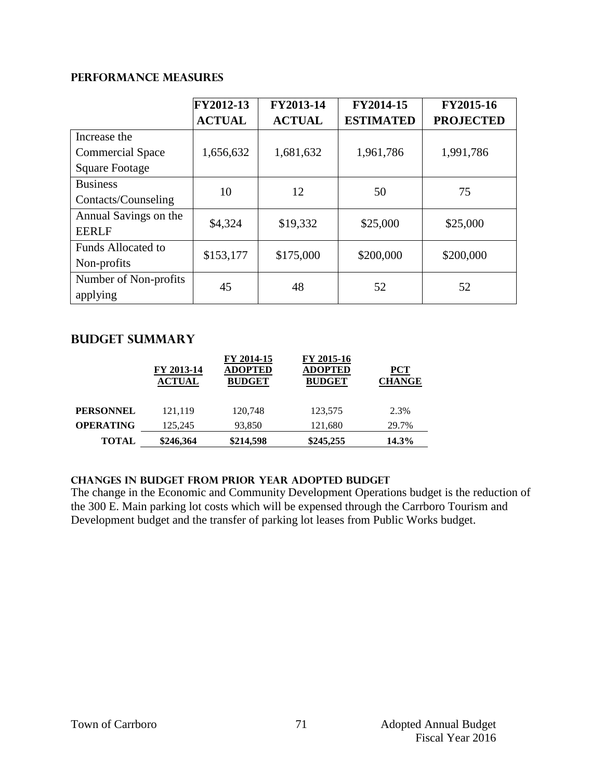#### **PERFORMANCE MEASURES**

|                           | FY2012-13     | FY2013-14     | FY2014-15        | FY2015-16        |
|---------------------------|---------------|---------------|------------------|------------------|
|                           | <b>ACTUAL</b> | <b>ACTUAL</b> | <b>ESTIMATED</b> | <b>PROJECTED</b> |
| Increase the              |               |               |                  |                  |
| <b>Commercial Space</b>   | 1,656,632     | 1,681,632     | 1,961,786        | 1,991,786        |
| <b>Square Footage</b>     |               |               |                  |                  |
| <b>Business</b>           | 10            | 12            | 50               | 75               |
| Contacts/Counseling       |               |               |                  |                  |
| Annual Savings on the     | \$4,324       | \$19,332      | \$25,000         | \$25,000         |
| <b>EERLF</b>              |               |               |                  |                  |
| <b>Funds Allocated to</b> | \$153,177     | \$175,000     | \$200,000        | \$200,000        |
| Non-profits               |               |               |                  |                  |
| Number of Non-profits     | 45            | 48            | 52               | 52               |
| applying                  |               |               |                  |                  |

### **Budget summary**

|                  | FY 2013-14<br><b>ACTUAL</b> | FY 2014-15<br><b>ADOPTED</b><br><b>BUDGET</b> | FY 2015-16<br><b>ADOPTED</b><br><b>BUDGET</b> | PCT<br><b>CHANGE</b> |
|------------------|-----------------------------|-----------------------------------------------|-----------------------------------------------|----------------------|
| <b>PERSONNEL</b> | 121.119                     | 120,748                                       | 123.575                                       | 2.3%                 |
| <b>OPERATING</b> | 125.245                     | 93,850                                        | 121.680                                       | 29.7%                |
| TOTAL            | \$246,364                   | \$214,598                                     | \$245,255                                     | 14.3%                |

#### **Changes in budget from prior year adopted budget**

The change in the Economic and Community Development Operations budget is the reduction of the 300 E. Main parking lot costs which will be expensed through the Carrboro Tourism and Development budget and the transfer of parking lot leases from Public Works budget.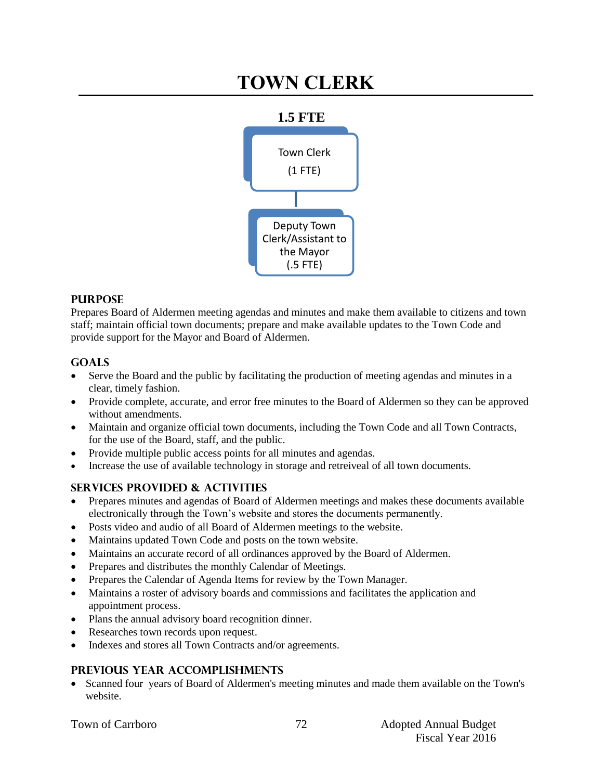## **TOWN CLERK**



### **PURPOSE**

Prepares Board of Aldermen meeting agendas and minutes and make them available to citizens and town staff; maintain official town documents; prepare and make available updates to the Town Code and provide support for the Mayor and Board of Aldermen.

### **Goals**

- Serve the Board and the public by facilitating the production of meeting agendas and minutes in a clear, timely fashion.
- Provide complete, accurate, and error free minutes to the Board of Aldermen so they can be approved without amendments.
- Maintain and organize official town documents, including the Town Code and all Town Contracts, for the use of the Board, staff, and the public.
- Provide multiple public access points for all minutes and agendas.
- Increase the use of available technology in storage and retreiveal of all town documents.

## **Services provided & activities**

- Prepares minutes and agendas of Board of Aldermen meetings and makes these documents available electronically through the Town's website and stores the documents permanently.
- Posts video and audio of all Board of Aldermen meetings to the website.
- Maintains updated Town Code and posts on the town website.
- Maintains an accurate record of all ordinances approved by the Board of Aldermen.
- Prepares and distributes the monthly Calendar of Meetings.
- Prepares the Calendar of Agenda Items for review by the Town Manager.
- Maintains a roster of advisory boards and commissions and facilitates the application and appointment process.
- Plans the annual advisory board recognition dinner.
- Researches town records upon request.
- Indexes and stores all Town Contracts and/or agreements.

## **Previous year accomplishments**

• Scanned four years of Board of Aldermen's meeting minutes and made them available on the Town's website.

|  |  | <b>Town of Carrboro</b> |  |
|--|--|-------------------------|--|
|--|--|-------------------------|--|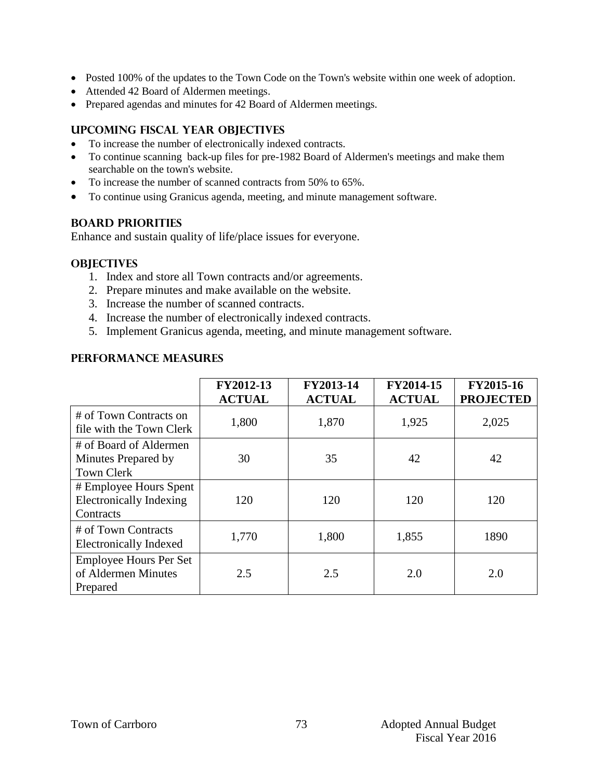- Posted 100% of the updates to the Town Code on the Town's website within one week of adoption.
- Attended 42 Board of Aldermen meetings.
- Prepared agendas and minutes for 42 Board of Aldermen meetings.

#### **Upcoming Fiscal year objectives**

- To increase the number of electronically indexed contracts.
- To continue scanning back-up files for pre-1982 Board of Aldermen's meetings and make them searchable on the town's website.
- To increase the number of scanned contracts from 50% to 65%.
- To continue using Granicus agenda, meeting, and minute management software.

### **BOARD PRIORITIES**

Enhance and sustain quality of life/place issues for everyone.

### **OBJECTIVES**

- 1. Index and store all Town contracts and/or agreements.
- 2. Prepare minutes and make available on the website.
- 3. Increase the number of scanned contracts.
- 4. Increase the number of electronically indexed contracts.
- 5. Implement Granicus agenda, meeting, and minute management software.

### **PERFORMANCE MEASURES**

|                                                                       | FY2012-13<br><b>ACTUAL</b> | FY2013-14<br><b>ACTUAL</b> | FY2014-15<br><b>ACTUAL</b> | FY2015-16<br><b>PROJECTED</b> |
|-----------------------------------------------------------------------|----------------------------|----------------------------|----------------------------|-------------------------------|
| # of Town Contracts on<br>file with the Town Clerk                    | 1,800                      | 1,870                      | 1,925                      | 2,025                         |
| # of Board of Aldermen<br>Minutes Prepared by<br><b>Town Clerk</b>    | 30                         | 35                         | 42                         | 42                            |
| # Employee Hours Spent<br><b>Electronically Indexing</b><br>Contracts | 120                        | 120                        | 120                        | 120                           |
| # of Town Contracts<br><b>Electronically Indexed</b>                  | 1,770                      | 1,800                      | 1,855                      | 1890                          |
| <b>Employee Hours Per Set</b><br>of Aldermen Minutes<br>Prepared      | 2.5                        | 2.5                        | 2.0                        | 2.0                           |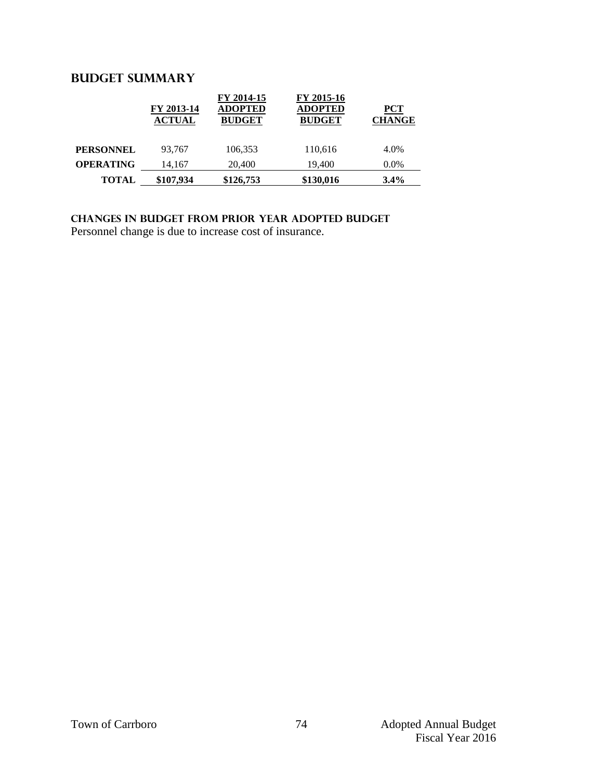## **Budget summary**

|                  | FY 2013-14<br><b>ACTUAL</b> | FY 2014-15<br><b>ADOPTED</b><br><b>BUDGET</b> | FY 2015-16<br><b>ADOPTED</b><br><b>BUDGET</b> | $PCT$<br><b>CHANGE</b> |
|------------------|-----------------------------|-----------------------------------------------|-----------------------------------------------|------------------------|
| <b>PERSONNEL</b> | 93.767                      | 106,353                                       | 110,616                                       | 4.0%                   |
| <b>OPERATING</b> | 14.167                      | 20,400                                        | 19.400                                        | $0.0\%$                |
| <b>TOTAL</b>     | \$107,934                   | \$126,753                                     | \$130,016                                     | $3.4\%$                |

**Changes in budget from prior year adopted budget** Personnel change is due to increase cost of insurance.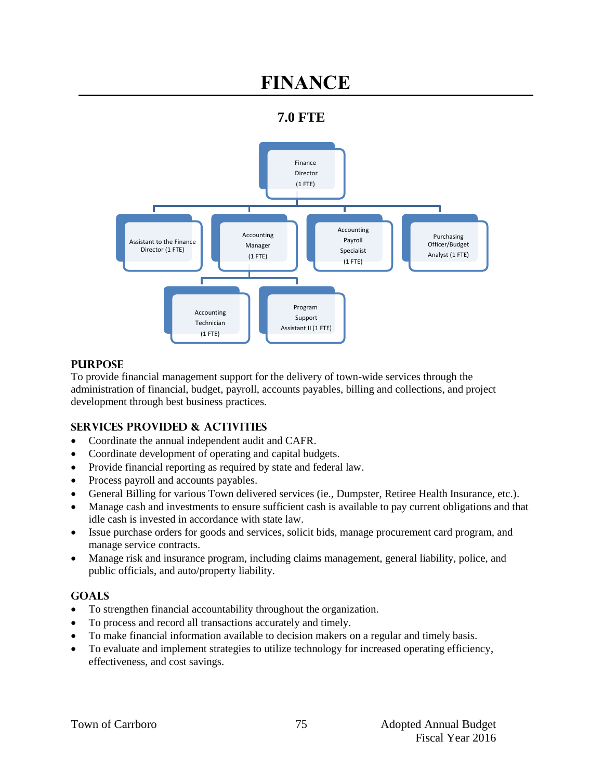# **FINANCE**

## **7.0 FTE**



### **PURPOSE**

To provide financial management support for the delivery of town-wide services through the administration of financial, budget, payroll, accounts payables, billing and collections, and project development through best business practices.

## **SERVICES PROVIDED & ACTIVITIES**

- Coordinate the annual independent audit and CAFR.
- Coordinate development of operating and capital budgets.
- Provide financial reporting as required by state and federal law.
- Process payroll and accounts payables.
- General Billing for various Town delivered services (ie., Dumpster, Retiree Health Insurance, etc.).
- Manage cash and investments to ensure sufficient cash is available to pay current obligations and that idle cash is invested in accordance with state law.
- Issue purchase orders for goods and services, solicit bids, manage procurement card program, and manage service contracts.
- Manage risk and insurance program, including claims management, general liability, police, and public officials, and auto/property liability.

## **GOALS**

- To strengthen financial accountability throughout the organization.
- To process and record all transactions accurately and timely.
- To make financial information available to decision makers on a regular and timely basis.
- To evaluate and implement strategies to utilize technology for increased operating efficiency, effectiveness, and cost savings.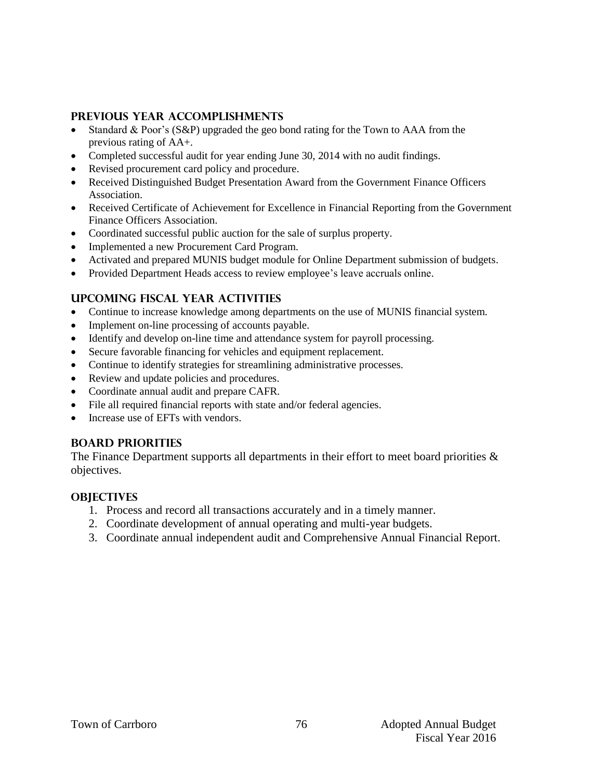#### **PREVIOUS YEAR ACCOMPLISHMENTS**

- Standard & Poor's (S&P) upgraded the geo bond rating for the Town to AAA from the previous rating of AA+.
- Completed successful audit for year ending June 30, 2014 with no audit findings.
- Revised procurement card policy and procedure.
- Received Distinguished Budget Presentation Award from the Government Finance Officers Association.
- Received Certificate of Achievement for Excellence in Financial Reporting from the Government Finance Officers Association.
- Coordinated successful public auction for the sale of surplus property.
- Implemented a new Procurement Card Program.
- Activated and prepared MUNIS budget module for Online Department submission of budgets.
- Provided Department Heads access to review employee's leave accruals online.

## **UPCOMING FISCAL YEAR ACTIVITIES**

- Continue to increase knowledge among departments on the use of MUNIS financial system.
- Implement on-line processing of accounts payable.
- Identify and develop on-line time and attendance system for payroll processing.
- Secure favorable financing for vehicles and equipment replacement.
- Continue to identify strategies for streamlining administrative processes.
- Review and update policies and procedures.
- Coordinate annual audit and prepare CAFR.
- File all required financial reports with state and/or federal agencies.
- Increase use of EFTs with vendors.

#### **BOARD PRIORITIES**

The Finance Department supports all departments in their effort to meet board priorities  $\&$ objectives.

#### **OBJECTIVES**

- 1. Process and record all transactions accurately and in a timely manner.
- 2. Coordinate development of annual operating and multi-year budgets.
- 3. Coordinate annual independent audit and Comprehensive Annual Financial Report.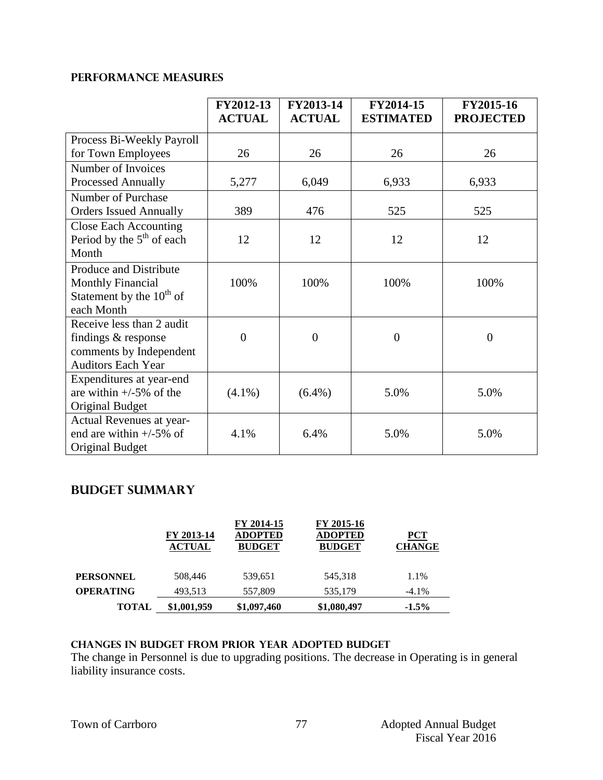## **PERFORMANCE MEASURES**

|                               | FY2012-13<br><b>ACTUAL</b> | FY2013-14<br><b>ACTUAL</b> | FY2014-15<br><b>ESTIMATED</b> | FY2015-16<br><b>PROJECTED</b> |
|-------------------------------|----------------------------|----------------------------|-------------------------------|-------------------------------|
| Process Bi-Weekly Payroll     |                            |                            |                               |                               |
| for Town Employees            | 26                         | 26                         | 26                            | 26                            |
| Number of Invoices            |                            |                            |                               |                               |
| Processed Annually            | 5,277                      | 6,049                      | 6,933                         | 6,933                         |
| Number of Purchase            |                            |                            |                               |                               |
| <b>Orders Issued Annually</b> | 389                        | 476                        | 525                           | 525                           |
| <b>Close Each Accounting</b>  |                            |                            |                               |                               |
| Period by the $5th$ of each   | 12                         | 12                         | 12                            | 12                            |
| Month                         |                            |                            |                               |                               |
| Produce and Distribute        |                            |                            |                               |                               |
| <b>Monthly Financial</b>      | 100%                       | 100%                       | 100%                          | 100%                          |
| Statement by the $10^{th}$ of |                            |                            |                               |                               |
| each Month                    |                            |                            |                               |                               |
| Receive less than 2 audit     |                            |                            |                               |                               |
| findings & response           | $\overline{0}$             | $\overline{0}$             | $\overline{0}$                | $\overline{0}$                |
| comments by Independent       |                            |                            |                               |                               |
| <b>Auditors Each Year</b>     |                            |                            |                               |                               |
| Expenditures at year-end      |                            |                            |                               |                               |
| are within $+/-5\%$ of the    | $(4.1\%)$                  | $(6.4\%)$                  | 5.0%                          | 5.0%                          |
| <b>Original Budget</b>        |                            |                            |                               |                               |
| Actual Revenues at year-      |                            |                            |                               |                               |
| end are within $+/-5\%$ of    | 4.1%                       | 6.4%                       | 5.0%                          | 5.0%                          |
| <b>Original Budget</b>        |                            |                            |                               |                               |

## **Budget summary**

|                  | FY 2013-14<br><b>ACTUAL</b> | FY 2014-15<br><b>ADOPTED</b><br><b>BUDGET</b> | FY 2015-16<br><b>ADOPTED</b><br><b>BUDGET</b> | $PCT$<br><b>CHANGE</b> |
|------------------|-----------------------------|-----------------------------------------------|-----------------------------------------------|------------------------|
| <b>PERSONNEL</b> | 508,446                     | 539,651                                       | 545.318                                       | 1.1%                   |
| <b>OPERATING</b> | 493.513                     | 557,809                                       | 535,179                                       | $-4.1\%$               |
| <b>TOTAL</b>     | \$1,001,959                 | \$1,097,460                                   | \$1,080,497                                   | $-1.5%$                |

#### **changes in budget from prior year adopted budgeT**

The change in Personnel is due to upgrading positions. The decrease in Operating is in general liability insurance costs.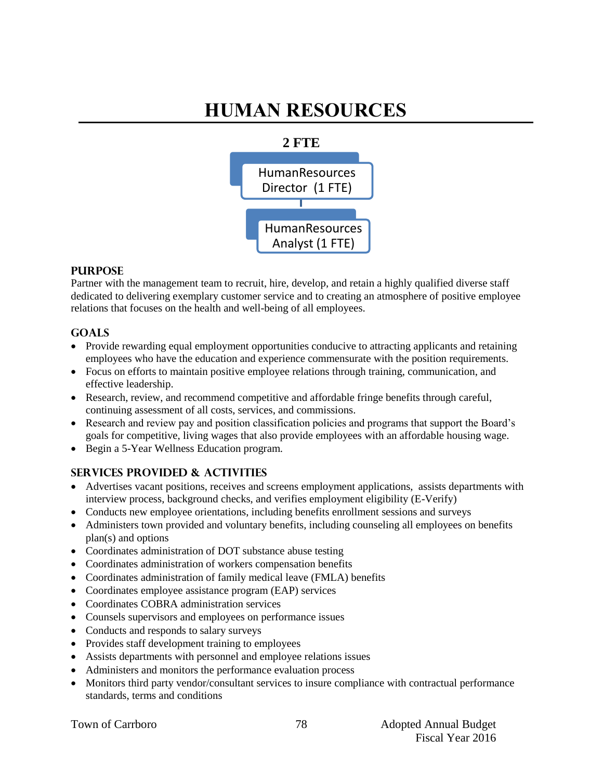# **HUMAN RESOURCES**



#### **PURPOSE**

Partner with the management team to recruit, hire, develop, and retain a highly qualified diverse staff dedicated to delivering exemplary customer service and to creating an atmosphere of positive employee relations that focuses on the health and well-being of all employees.

## **GOALS**

- Provide rewarding equal employment opportunities conducive to attracting applicants and retaining employees who have the education and experience commensurate with the position requirements.
- Focus on efforts to maintain positive employee relations through training, communication, and effective leadership.
- Research, review, and recommend competitive and affordable fringe benefits through careful, continuing assessment of all costs, services, and commissions.
- Research and review pay and position classification policies and programs that support the Board's goals for competitive, living wages that also provide employees with an affordable housing wage.
- Begin a 5-Year Wellness Education program.

## **SERVICES PROVIDED & ACTIVITIES**

- Advertises vacant positions, receives and screens employment applications, assists departments with interview process, background checks, and verifies employment eligibility (E-Verify)
- Conducts new employee orientations, including benefits enrollment sessions and surveys
- Administers town provided and voluntary benefits, including counseling all employees on benefits plan(s) and options
- Coordinates administration of DOT substance abuse testing
- Coordinates administration of workers compensation benefits
- Coordinates administration of family medical leave (FMLA) benefits
- Coordinates employee assistance program (EAP) services
- Coordinates COBRA administration services
- Counsels supervisors and employees on performance issues
- Conducts and responds to salary surveys
- Provides staff development training to employees
- Assists departments with personnel and employee relations issues
- Administers and monitors the performance evaluation process
- Monitors third party vendor/consultant services to insure compliance with contractual performance standards, terms and conditions

|  | <b>Town of Carrboro</b> |
|--|-------------------------|
|--|-------------------------|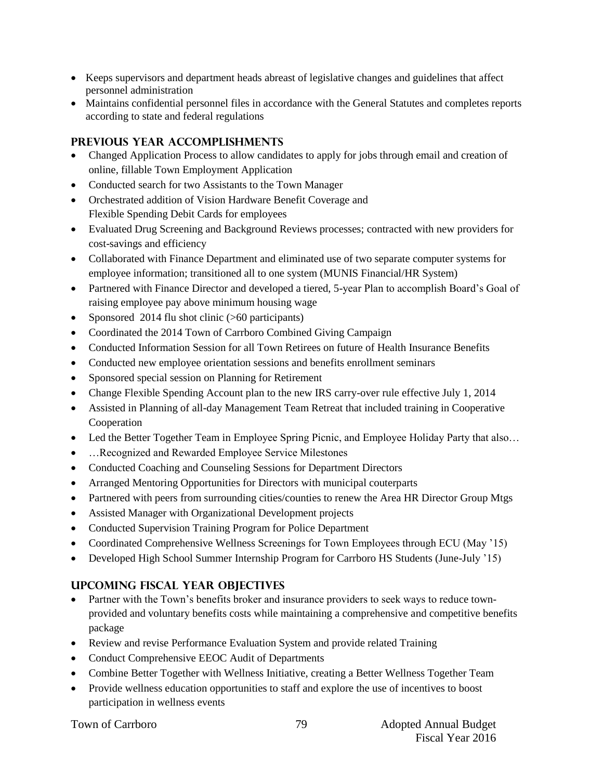- Keeps supervisors and department heads abreast of legislative changes and guidelines that affect personnel administration
- Maintains confidential personnel files in accordance with the General Statutes and completes reports according to state and federal regulations

## **PREVIOUS YEAR ACCOMPLISHMENTS**

- Changed Application Process to allow candidates to apply for jobs through email and creation of online, fillable Town Employment Application
- Conducted search for two Assistants to the Town Manager
- Orchestrated addition of Vision Hardware Benefit Coverage and Flexible Spending Debit Cards for employees
- Evaluated Drug Screening and Background Reviews processes; contracted with new providers for cost-savings and efficiency
- Collaborated with Finance Department and eliminated use of two separate computer systems for employee information; transitioned all to one system (MUNIS Financial/HR System)
- Partnered with Finance Director and developed a tiered, 5-year Plan to accomplish Board's Goal of raising employee pay above minimum housing wage
- Sponsored 2014 flu shot clinic (>60 participants)
- Coordinated the 2014 Town of Carrboro Combined Giving Campaign
- Conducted Information Session for all Town Retirees on future of Health Insurance Benefits
- Conducted new employee orientation sessions and benefits enrollment seminars
- Sponsored special session on Planning for Retirement
- Change Flexible Spending Account plan to the new IRS carry-over rule effective July 1, 2014
- Assisted in Planning of all-day Management Team Retreat that included training in Cooperative Cooperation
- Led the Better Together Team in Employee Spring Picnic, and Employee Holiday Party that also...
- …Recognized and Rewarded Employee Service Milestones
- Conducted Coaching and Counseling Sessions for Department Directors
- Arranged Mentoring Opportunities for Directors with municipal couterparts
- Partnered with peers from surrounding cities/counties to renew the Area HR Director Group Mtgs
- Assisted Manager with Organizational Development projects
- Conducted Supervision Training Program for Police Department
- Coordinated Comprehensive Wellness Screenings for Town Employees through ECU (May '15)
- Developed High School Summer Internship Program for Carrboro HS Students (June-July '15)

## **UPCOMING FISCAL YEAR OBJECTIVES**

- Partner with the Town's benefits broker and insurance providers to seek ways to reduce townprovided and voluntary benefits costs while maintaining a comprehensive and competitive benefits package
- Review and revise Performance Evaluation System and provide related Training
- Conduct Comprehensive EEOC Audit of Departments
- Combine Better Together with Wellness Initiative, creating a Better Wellness Together Team
- Provide wellness education opportunities to staff and explore the use of incentives to boost participation in wellness events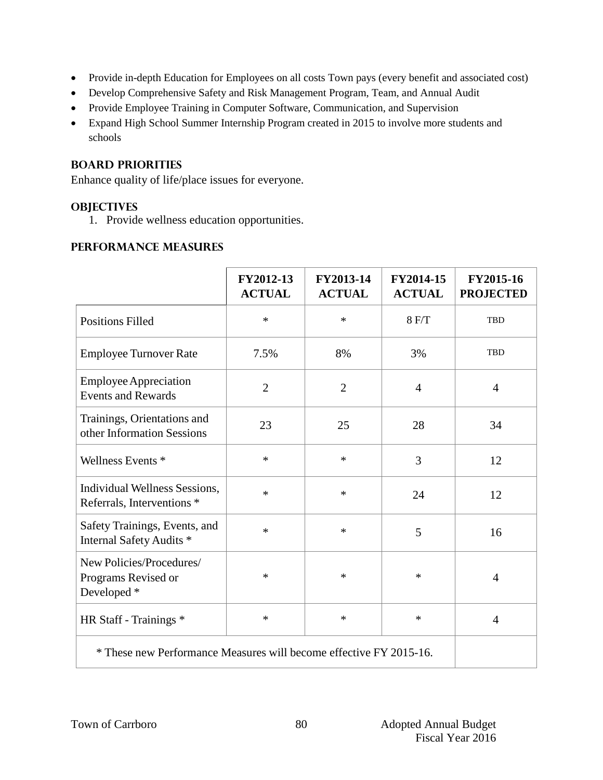- Provide in-depth Education for Employees on all costs Town pays (every benefit and associated cost)
- Develop Comprehensive Safety and Risk Management Program, Team, and Annual Audit
- Provide Employee Training in Computer Software, Communication, and Supervision
- Expand High School Summer Internship Program created in 2015 to involve more students and schools

## **BOARD PRIORITIES**

Enhance quality of life/place issues for everyone.

## **OBJECTIVES**

1. Provide wellness education opportunities.

## **PERFORMANCE MEASURES**

|                                                                    | FY2012-13<br><b>ACTUAL</b> | FY2013-14<br><b>ACTUAL</b> | FY2014-15<br><b>ACTUAL</b> | FY2015-16<br><b>PROJECTED</b> |
|--------------------------------------------------------------------|----------------------------|----------------------------|----------------------------|-------------------------------|
| <b>Positions Filled</b>                                            | $\ast$                     | $\ast$                     | 8 F/T                      | <b>TBD</b>                    |
| <b>Employee Turnover Rate</b>                                      | 7.5%                       | 8%                         | 3%                         | <b>TBD</b>                    |
| <b>Employee Appreciation</b><br><b>Events and Rewards</b>          | $\overline{2}$             | $\overline{2}$             | $\overline{4}$             | $\overline{4}$                |
| Trainings, Orientations and<br>other Information Sessions          | 23                         | 25                         | 28                         | 34                            |
| Wellness Events *                                                  | $\ast$                     | $\ast$                     | 3                          | 12                            |
| Individual Wellness Sessions,<br>Referrals, Interventions *        | $\ast$                     | $\ast$                     | 24                         | 12                            |
| Safety Trainings, Events, and<br>Internal Safety Audits *          | $\ast$                     | $\ast$                     | 5                          | 16                            |
| New Policies/Procedures/<br>Programs Revised or<br>Developed *     | $\ast$                     | $\ast$                     | ∗                          | $\overline{4}$                |
| HR Staff - Trainings *                                             | $\ast$                     | $\ast$                     | $\ast$                     | $\overline{4}$                |
| * These new Performance Measures will become effective FY 2015-16. |                            |                            |                            |                               |